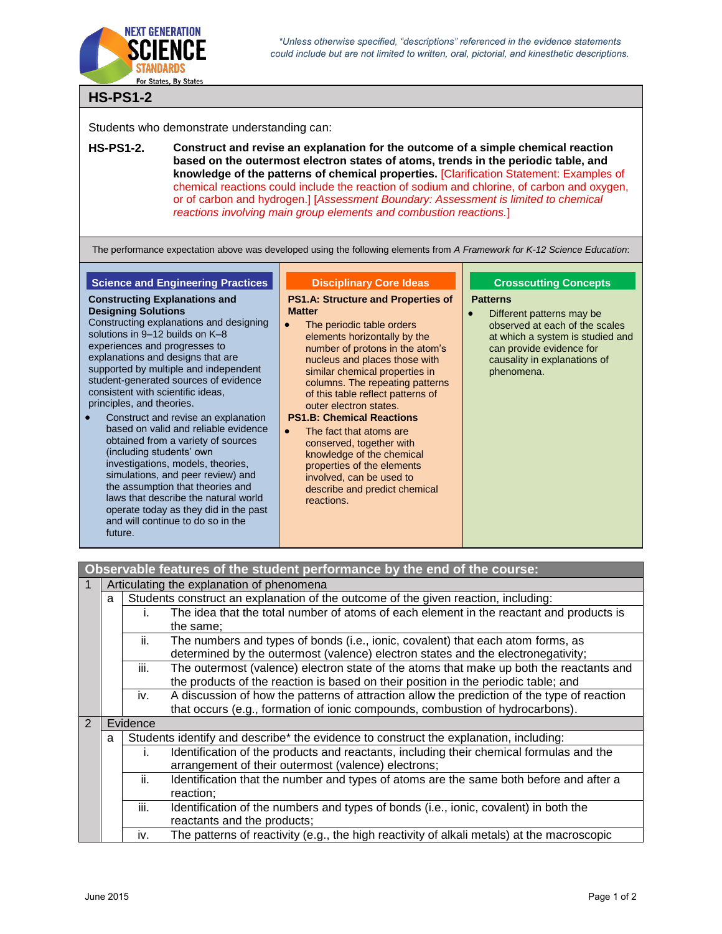

\*Unless otherwise specified, "descriptions" referenced in the evidence statements could include but are not limited to written, oral, pictorial, and kinesthetic descriptions.

# **HS-PS1-2**

Students who demonstrate understanding can:

**HS-PS1-2. Construct and revise an explanation for the outcome of a simple chemical reaction based on the outermost electron states of atoms, trends in the periodic table, and knowledge of the patterns of chemical properties.** [Clarification Statement: Examples of chemical reactions could include the reaction of sodium and chlorine, of carbon and oxygen, or of carbon and hydrogen.] [*Assessment Boundary: Assessment is limited to chemical reactions involving main group elements and combustion reactions.*]

The performance expectation above was developed using the following elements from *A Framework for K-12 Science Education*:

**Disciplinary Core Ideas**

## **Science and Engineering Practices**

**Constructing Explanations and** 

**Designing Solutions**

#### **PS1.A: Structure and Properties of Matter**

- Constructing explanations and designing solutions in 9–12 builds on K–8 experiences and progresses to explanations and designs that are supported by multiple and independent student-generated sources of evidence consistent with scientific ideas, principles, and theories.
- Construct and revise an explanation based on valid and reliable evidence obtained from a variety of sources (including students' own investigations, models, theories, simulations, and peer review) and the assumption that theories and laws that describe the natural world operate today as they did in the past and will continue to do so in the future.
- The periodic table orders elements horizontally by the number of protons in the atom's nucleus and places those with similar chemical properties in columns. The repeating patterns of this table reflect patterns of outer electron states.

#### **PS1.B: Chemical Reactions**

• The fact that atoms are conserved, together with knowledge of the chemical properties of the elements involved, can be used to describe and predict chemical reactions.

### **Crosscutting Concepts**

#### **Patterns**

• Different patterns may be observed at each of the scales at which a system is studied and can provide evidence for causality in explanations of phenomena.

| Observable features of the student performance by the end of the course: |                                                                                         |                                                                                               |                                                                                             |  |  |
|--------------------------------------------------------------------------|-----------------------------------------------------------------------------------------|-----------------------------------------------------------------------------------------------|---------------------------------------------------------------------------------------------|--|--|
| 1                                                                        | Articulating the explanation of phenomena                                               |                                                                                               |                                                                                             |  |  |
|                                                                          | Students construct an explanation of the outcome of the given reaction, including:<br>a |                                                                                               |                                                                                             |  |  |
|                                                                          |                                                                                         | I.                                                                                            | The idea that the total number of atoms of each element in the reactant and products is     |  |  |
|                                                                          | the same;                                                                               |                                                                                               |                                                                                             |  |  |
|                                                                          | ii.                                                                                     |                                                                                               | The numbers and types of bonds (i.e., ionic, covalent) that each atom forms, as             |  |  |
|                                                                          |                                                                                         |                                                                                               | determined by the outermost (valence) electron states and the electronegativity;            |  |  |
|                                                                          | iii.                                                                                    |                                                                                               | The outermost (valence) electron state of the atoms that make up both the reactants and     |  |  |
|                                                                          | the products of the reaction is based on their position in the periodic table; and      |                                                                                               |                                                                                             |  |  |
|                                                                          |                                                                                         | iv.                                                                                           | A discussion of how the patterns of attraction allow the prediction of the type of reaction |  |  |
|                                                                          |                                                                                         |                                                                                               | that occurs (e.g., formation of ionic compounds, combustion of hydrocarbons).               |  |  |
| $\mathcal{P}$                                                            | Evidence                                                                                |                                                                                               |                                                                                             |  |  |
| a                                                                        |                                                                                         |                                                                                               | Students identify and describe* the evidence to construct the explanation, including:       |  |  |
|                                                                          |                                                                                         | Identification of the products and reactants, including their chemical formulas and the<br>Ť. |                                                                                             |  |  |
| arrangement of their outermost (valence) electrons;<br>ii.               |                                                                                         |                                                                                               |                                                                                             |  |  |
|                                                                          |                                                                                         |                                                                                               | Identification that the number and types of atoms are the same both before and after a      |  |  |
|                                                                          |                                                                                         |                                                                                               | reaction;                                                                                   |  |  |
|                                                                          |                                                                                         | iii.                                                                                          | Identification of the numbers and types of bonds (i.e., ionic, covalent) in both the        |  |  |
|                                                                          |                                                                                         |                                                                                               | reactants and the products;                                                                 |  |  |
|                                                                          |                                                                                         | iv.                                                                                           | The patterns of reactivity (e.g., the high reactivity of alkali metals) at the macroscopic  |  |  |
|                                                                          |                                                                                         |                                                                                               |                                                                                             |  |  |